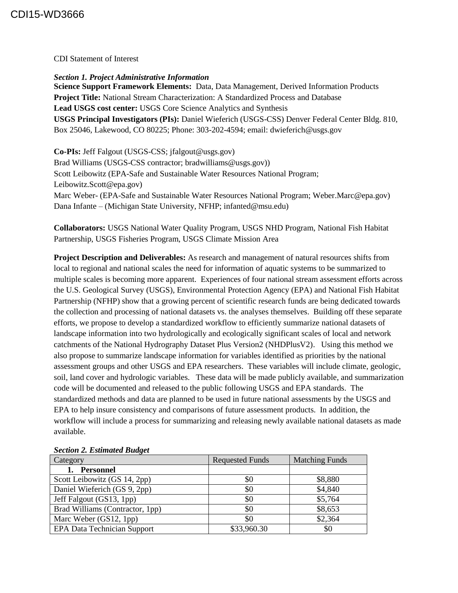CDI Statement of Interest

*Section 1. Project Administrative Information* **Science Support Framework Elements:** Data, Data Management, Derived Information Products **Project Title:** National Stream Characterization: A Standardized Process and Database **Lead USGS cost center:** USGS Core Science Analytics and Synthesis **USGS Principal Investigators (PIs):** Daniel Wieferich (USGS-CSS) Denver Federal Center Bldg. 810, Box 25046, Lakewood, CO 80225; Phone: 303-202-4594; email: dwieferich@usgs.gov

**Co-PIs:** Jeff Falgout (USGS-CSS; jfalgout@usgs.gov) Brad Williams (USGS-CSS contractor; bradwilliams@usgs.gov)) Scott Leibowitz (EPA-Safe and Sustainable Water Resources National Program; Leibowitz.Scott@epa.gov) Marc Weber- (EPA-Safe and Sustainable Water Resources National Program; Weber.Marc@epa.gov) Dana Infante – (Michigan State University, NFHP; infanted@msu.edu)

**Collaborators:** USGS National Water Quality Program, USGS NHD Program, National Fish Habitat Partnership, USGS Fisheries Program, USGS Climate Mission Area

**Project Description and Deliverables:** As research and management of natural resources shifts from local to regional and national scales the need for information of aquatic systems to be summarized to multiple scales is becoming more apparent. Experiences of four national stream assessment efforts across the U.S. Geological Survey (USGS), Environmental Protection Agency (EPA) and National Fish Habitat Partnership (NFHP) show that a growing percent of scientific research funds are being dedicated towards the collection and processing of national datasets vs. the analyses themselves. Building off these separate efforts, we propose to develop a standardized workflow to efficiently summarize national datasets of landscape information into two hydrologically and ecologically significant scales of local and network catchments of the National Hydrography Dataset Plus Version2 (NHDPlusV2). Using this method we also propose to summarize landscape information for variables identified as priorities by the national assessment groups and other USGS and EPA researchers. These variables will include climate, geologic, soil, land cover and hydrologic variables. These data will be made publicly available, and summarization code will be documented and released to the public following USGS and EPA standards. The standardized methods and data are planned to be used in future national assessments by the USGS and EPA to help insure consistency and comparisons of future assessment products. In addition, the workflow will include a process for summarizing and releasing newly available national datasets as made available.

| Deenon si Listinuven Duurset       |                        |                       |
|------------------------------------|------------------------|-----------------------|
| Category                           | <b>Requested Funds</b> | <b>Matching Funds</b> |
| <b>Personnel</b>                   |                        |                       |
| Scott Leibowitz (GS 14, 2pp)       | \$0                    | \$8,880               |
| Daniel Wieferich (GS 9, 2pp)       | \$0                    | \$4,840               |
| Jeff Falgout (GS13, 1pp)           | \$0                    | \$5,764               |
| Brad Williams (Contractor, 1pp)    | \$0                    | \$8,653               |
| Marc Weber (GS12, 1pp)             | \$0                    | \$2,364               |
| <b>EPA Data Technician Support</b> | \$33,960.30            | \$0                   |

## *Section 2. Estimated Budget*